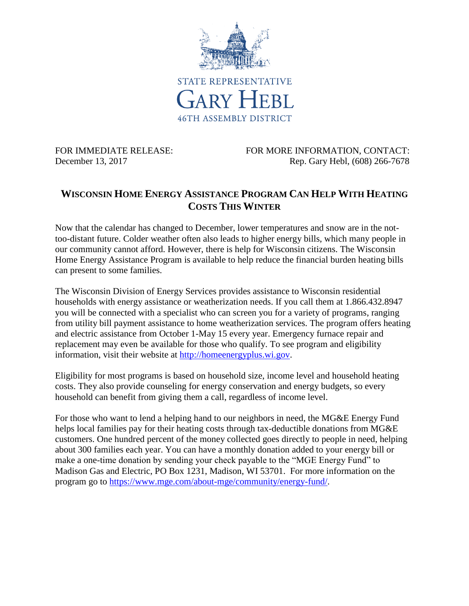

FOR IMMEDIATE RELEASE: FOR MORE INFORMATION, CONTACT: December 13, 2017 Rep. Gary Hebl, (608) 266-7678

## **WISCONSIN HOME ENERGY ASSISTANCE PROGRAM CAN HELP WITH HEATING COSTS THIS WINTER**

Now that the calendar has changed to December, lower temperatures and snow are in the nottoo-distant future. Colder weather often also leads to higher energy bills, which many people in our community cannot afford. However, there is help for Wisconsin citizens. The Wisconsin Home Energy Assistance Program is available to help reduce the financial burden heating bills can present to some families.

The Wisconsin Division of Energy Services provides assistance to Wisconsin residential households with energy assistance or weatherization needs. If you call them at 1.866.432.8947 you will be connected with a specialist who can screen you for a variety of programs, ranging from utility bill payment assistance to home weatherization services. The program offers heating and electric assistance from October 1-May 15 every year. Emergency furnace repair and replacement may even be available for those who qualify. To see program and eligibility information, visit their website at [http://homeenergyplus.wi.gov.](http://homeenergyplus.wi.gov/)

Eligibility for most programs is based on household size, income level and household heating costs. They also provide counseling for energy conservation and energy budgets, so every household can benefit from giving them a call, regardless of income level.

For those who want to lend a helping hand to our neighbors in need, the MG&E Energy Fund helps local families pay for their heating costs through tax-deductible donations from MG&E customers. One hundred percent of the money collected goes directly to people in need, helping about 300 families each year. You can have a monthly donation added to your energy bill or make a one-time donation by sending your check payable to the "MGE Energy Fund" to Madison Gas and Electric, PO Box 1231, Madison, WI 53701. For more information on the program go to [https://www.mge.com/about-mge/community/energy-fund/.](https://www.mge.com/about-mge/community/energy-fund/)